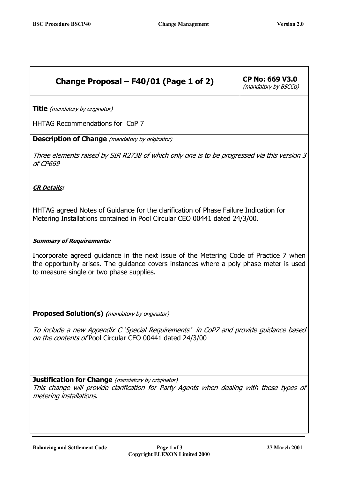## **Change Proposal – F40/01 (Page 1 of 2) CP No: 669 V3.0**

(mandatory by BSCCo)

**Title** (mandatory by originator)

HHTAG Recommendations for CoP 7

**Description of Change** (mandatory by originator)

Three elements raised by SIR R2738 of which only one is to be progressed via this version 3 of CP669

## **CR Details:**

HHTAG agreed Notes of Guidance for the clarification of Phase Failure Indication for Metering Installations contained in Pool Circular CEO 00441 dated 24/3/00.

## **Summary of Requirements:**

Incorporate agreed guidance in the next issue of the Metering Code of Practice 7 when the opportunity arises. The guidance covers instances where a poly phase meter is used to measure single or two phase supplies.

**Proposed Solution(s) (**mandatory by originator)

To include a new Appendix C 'Special Requirements' in CoP7 and provide guidance based on the contents of Pool Circular CEO 00441 dated 24/3/00

**Justification for Change** (mandatory by originator)

This change will provide clarification for Party Agents when dealing with these types of metering installations.